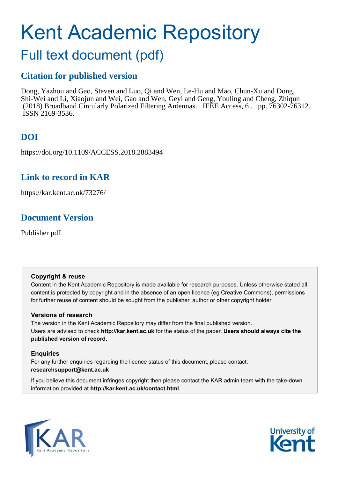# Kent Academic Repository

# Full text document (pdf)

### **Citation for published version**

Dong, Yazhou and Gao, Steven and Luo, Qi and Wen, Le-Hu and Mao, Chun-Xu and Dong, Shi-Wei and Li, Xiaojun and Wei, Gao and Wen, Geyi and Geng, Youling and Cheng, Zhiqun (2018) Broadband Circularly Polarized Filtering Antennas. IEEE Access, 6 . pp. 76302-76312. ISSN 2169-3536.

# **DOI**

https://doi.org/10.1109/ACCESS.2018.2883494

### **Link to record in KAR**

https://kar.kent.ac.uk/73276/

## **Document Version**

Publisher pdf

#### **Copyright & reuse**

Content in the Kent Academic Repository is made available for research purposes. Unless otherwise stated all content is protected by copyright and in the absence of an open licence (eg Creative Commons), permissions for further reuse of content should be sought from the publisher, author or other copyright holder.

#### **Versions of research**

The version in the Kent Academic Repository may differ from the final published version. Users are advised to check **http://kar.kent.ac.uk** for the status of the paper. **Users should always cite the published version of record.**

#### **Enquiries**

For any further enquiries regarding the licence status of this document, please contact: **researchsupport@kent.ac.uk**

If you believe this document infringes copyright then please contact the KAR admin team with the take-down information provided at **http://kar.kent.ac.uk/contact.html**



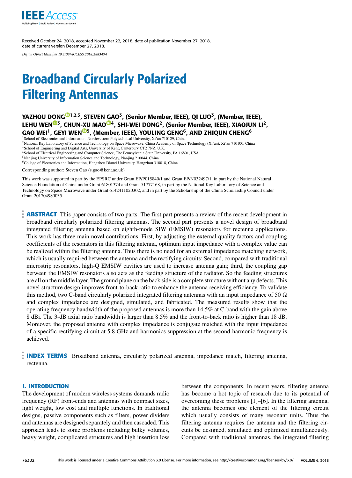

Received October 24, 2018, accepted November 22, 2018, date of publication November 27, 2018, date of current version December 27, 2018.

*Digital Object Identifier 10.1109/ACCESS.2018.2883494*

# Broadband Circularly Polarized Filtering Antennas

#### YAZHOU D[ON](https://orcid.org/0000-0001-9757-1114)[G](https://orcid.org/0000-0002-8383-3395)<sup>101,2,3</sup>, STEVEN [GA](https://orcid.org/0000-0002-4266-6826)O<sup>3</sup>, (Senior Member, IEEE), QI LUO<sup>3</sup>, (Member, IEEE), LEHU WEN<sup>®3</sup>, CHUN[-XU](https://orcid.org/0000-0003-3727-0963) MAO<sup>®4</sup>, SHI-WEI DONG<sup>2</sup>, (Senior Member, IEEE), XIAOJUN LI<sup>2</sup>, GAO WEI<sup>1</sup>, GEYI WEN<sup>@5</sup>, (Member, IEEE), YOULING GENG<sup>6</sup>, AND ZHIQUN CHENG<sup>6</sup>

<sup>1</sup> School of Electronics and Information, Northwestern Polytechnical University, Xi'an 710129, China <sup>2</sup>National Key Laboratory of Science and Technology on Space Microwave, China Academy of Space Technology (Xi'an), Xi'an 710100, China

<sup>3</sup> School of Engineering and Digital Arts, University of Kent, Canterbury CT2 7NZ, U.K.

<sup>4</sup>School of Electrical Engineering and Computer Science, The Pennsylvania State University, PA 16801, USA

<sup>5</sup>Nanjing University of Information Science and Technology, Nanjing 210044, China

<sup>6</sup>College of Electronics and Information, Hangzhou Dianzi University, Hangzhou 310018, China

Corresponding author: Steven Gao (s.gao@kent.ac.uk)

This work was supported in part by the EPSRC under Grant EP/P015840/1 and Grant EP/N032497/1, in part by the National Natural Science Foundation of China under Grant 61801374 and Grant 51777168, in part by the National Key Laboratory of Science and Technology on Space Microwave under Grant 6142411020302, and in part by the Scholarship of the China Scholarship Council under Grant 201704980035.

**ABSTRACT** This paper consists of two parts. The first part presents a review of the recent development in broadband circularly polarized filtering antennas. The second part presents a novel design of broadband integrated filtering antenna based on eighth-mode SIW (EMSIW) resonators for rectenna applications. This work has three main novel contributions. First, by adjusting the external quality factors and coupling coefficients of the resonators in this filtering antenna, optimum input impedance with a complex value can be realized within the filtering antenna. Thus there is no need for an external impedance matching network, which is usually required between the antenna and the rectifying circuits; Second, compared with traditional microstrip resonators, high-Q EMSIW cavities are used to increase antenna gain; third, the coupling gap between the EMSIW resonators also acts as the feeding structure of the radiator. So the feeding structures are all on the middle layer. The ground plane on the back side is a complete structure without any defects. This novel structure design improves front-to-back ratio to enhance the antenna receiving efficiency. To validate this method, two C-band circularly polarized integrated filtering antennas with an input impedance of 50  $\Omega$ and complex impedance are designed, simulated, and fabricated. The measured results show that the operating frequency bandwidth of the proposed antennas is more than 14.5% at C-band with the gain above 8 dBi. The 3-dB axial ratio bandwidth is larger than 8.5% and the front-to-back ratio is higher than 18 dB. Moreover, the proposed antenna with complex impedance is conjugate matched with the input impedance of a specific rectifying circuit at 5.8 GHz and harmonics suppression at the second-harmonic frequency is achieved.

**INDEX TERMS** Broadband antenna, circularly polarized antenna, impedance match, filtering antenna, rectenna.

#### **I. INTRODUCTION**

The development of modern wireless systems demands radio frequency (RF) front-ends and antennas with compact sizes, light weight, low cost and multiple functions. In traditional designs, passive components such as filters, power dividers and antennas are designed separately and then cascaded. This approach leads to some problems including bulky volumes, heavy weight, complicated structures and high insertion loss

between the components. In recent years, filtering antenna has become a hot topic of research due to its potential of overcoming these problems [1]–[6]. In the filtering antenna, the antenna becomes one element of the filtering circuit which usually consists of many resonant units. Thus the filtering antenna requires the antenna and the filtering circuits be designed, simulated and optimized simultaneously. Compared with traditional antennas, the integrated filtering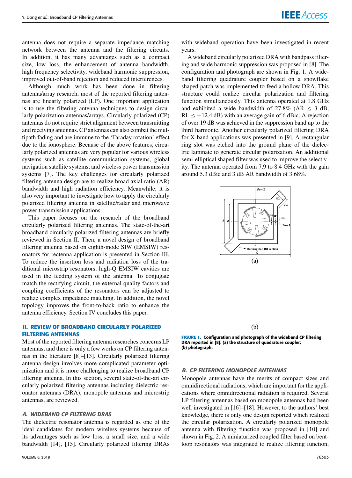antenna does not require a separate impedance matching network between the antenna and the filtering circuits. In addition, it has many advantages such as a compact size, low loss, the enhancement of antenna bandwidth, high frequency selectivity, wideband harmonic suppression, improved out-of-band rejection and reduced interferences.

Although much work has been done in filtering antenna/array research, most of the reported filtering antennas are linearly polarized (LP). One important application is to use the filtering antenna techniques to design circularly polarization antennas/arrays. Circularly polarized (CP) antennas do not require strict alignment between transmitting and receiving antennas. CP antennas can also combat the multipath fading and are immune to the 'Faraday rotation' effect due to the ionosphere. Because of the above features, circularly polarized antennas are very popular for various wireless systems such as satellite communication systems, global navigation satellite systems, and wireless power transmission systems [7]. The key challenges for circularly polarized filtering antenna design are to realize broad axial ratio (AR) bandwidth and high radiation efficiency. Meanwhile, it is also very important to investigate how to apply the circularly polarized filtering antenna in satellite/radar and microwave power transmission applications.

This paper focuses on the research of the broadband circularly polarized filtering antennas. The state-of-the-art broadband circularly polarized filtering antennas are briefly reviewed in Section II. Then, a novel design of broadband filtering antenna based on eighth-mode SIW (EMSIW) resonators for rectenna application is presented in Section III. To reduce the insertion loss and radiation loss of the traditional microstrip resonators, high-Q EMSIW cavities are used in the feeding system of the antenna. To conjugate match the rectifying circuit, the external quality factors and coupling coefficients of the resonators can be adjusted to realize complex impedance matching. In addition, the novel topology improves the front-to-back ratio to enhance the antenna efficiency. Section IV concludes this paper.

#### **II. REVIEW OF BROADBAND CIRCULARLY POLARIZED FILTERING ANTENNAS**

Most of the reported filtering antenna researches concerns LP antennas, and there is only a few works on CP filtering antennas in the literature [8]–[13]. Circularly polarized filtering antenna design involves more complicated parameter optimization and it is more challenging to realize broadband CP filtering antenna. In this section, several state-of-the-art circularly polarized filtering antennas including dielectric resonator antennas (DRA), monopole antennas and microstrip antennas, are reviewed.

#### A. WIDEBAND CP FILTERING DRAS

The dielectric resonator antenna is regarded as one of the ideal candidates for modern wireless systems because of its advantages such as low loss, a small size, and a wide bandwidth [14], [15]. Circularly polarized filtering DRAs

with wideband operation have been investigated in recent years.

A wideband circularly polarized DRA with bandpass filtering and wide harmonic suppression was proposed in [8]. The configuration and photograph are shown in Fig. 1. A wideband filtering quadrature coupler based on a snowflake shaped patch was implemented to feed a hollow DRA. This structure could realize circular polarization and filtering function simultaneously. This antenna operated at 1.8 GHz and exhibited a wide bandwidth of  $27.8\%$  (AR < 3 dB,  $RL \le -12.4$  dB) with an average gain of 6 dBic. A rejection of over 19 dB was achieved in the suppression band up to the third harmonic. Another circularly polarized filtering DRA for X-band applications was presented in [9]. A rectangular ring slot was etched into the ground plane of the dielectric laminate to generate circular polarization. An additional semi-elliptical shaped filter was used to improve the selectivity. The antenna operated from 7.9 to 8.4 GHz with the gain around 5.3 dBic and 3 dB AR bandwidth of 3.68%.



**FIGURE 1.** Configuration and photograph of the wideband CP filtering DRA reported in [8]: (a) the structure of quadrature coupler; (b) photograph.

#### B. CP FILTERING MONOPOLE ANTENNAS

Monopole antennas have the merits of compact sizes and omnidirectional radiations, which are important for the applications where omnidirectional radiation is required. Several LP filtering antennas based on monopole antennas had been well investigated in [16]–[18]. However, to the authors' best knowledge, there is only one design reported which realized the circular polarization. A circularly polarized monopole antenna with filtering function was proposed in [10] and shown in Fig. 2. A miniaturized coupled filter based on bentloop resonators was integrated to realize filtering function,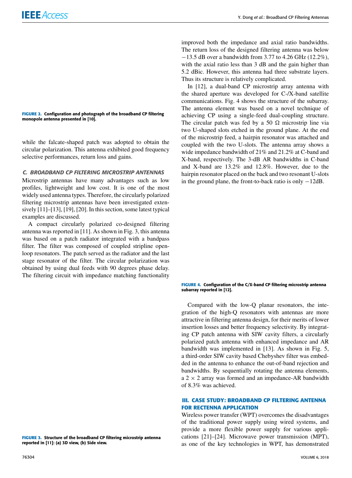#### **FIGURE 2.** Configuration and photograph of the broadband CP filtering monopole antenna presented in [10].

while the falcate-shaped patch was adopted to obtain the circular polarization. This antenna exhibited good frequency selective performances, return loss and gains.

#### C. BROADBAND CP FILTERING MICROSTRIP ANTENNAS

Microstrip antennas have many advantages such as low profiles, lightweight and low cost. It is one of the most widely used antenna types. Therefore, the circularly polarized filtering microstrip antennas have been investigated extensively [11]–[13], [19], [20]. In this section, some latest typical examples are discussed.

A compact circularly polarized co-designed filtering antenna was reported in [11]. As shown in Fig. 3, this antenna was based on a patch radiator integrated with a bandpass filter. The filter was composed of coupled stripline openloop resonators. The patch served as the radiator and the last stage resonator of the filter. The circular polarization was obtained by using dual feeds with 90 degrees phase delay. The filtering circuit with impedance matching functionality

**FIGURE 3.** Structure of the broadband CP filtering microstrip antenna reported in [11]: (a) 3D view, (b) Side view.

improved both the impedance and axial ratio bandwidths. The return loss of the designed filtering antenna was below −13.5 dB over a bandwidth from 3.77 to 4.26 GHz (12.2%), with the axial ratio less than 3 dB and the gain higher than 5.2 dBic. However, this antenna had three substrate layers. Thus its structure is relatively complicated.

In [12], a dual-band CP microstrip array antenna with the shared aperture was developed for C-/X-band satellite communications. Fig. 4 shows the structure of the subarray. The antenna element was based on a novel technique of achieving CP using a single-feed dual-coupling structure. The circular patch was fed by a 50  $\Omega$  microstrip line via two U-shaped slots etched in the ground plane. At the end of the microstrip feed, a hairpin resonator was attached and coupled with the two U-slots. The antenna array shows a wide impedance bandwidth of 21% and 21.2% at C-band and X-band, respectively. The 3-dB AR bandwidths in C-band and X-band are 13.2% and 12.8%. However, due to the hairpin resonator placed on the back and two resonant U-slots in the ground plane, the front-to-back ratio is only −12dB.

#### **FIGURE 4.** Configuration of the C/X-band CP filtering microstrip antenna subarray reported in [12].

Compared with the low-Q planar resonators, the integration of the high-Q resonators with antennas are more attractive in filtering antenna design, for their merits of lower insertion losses and better frequency selectivity. By integrating CP patch antenna with SIW cavity filters, a circularly polarized patch antenna with enhanced impedance and AR bandwidth was implemented in [13]. As shown in Fig. 5, a third-order SIW cavity based Chebyshev filter was embedded in the antenna to enhance the out-of-band rejection and bandwidths. By sequentially rotating the antenna elements, a  $2 \times 2$  array was formed and an impedance-AR bandwidth of 8.3% was achieved.

#### **III. CASE STUDY: BROADBAND CP FILTERING ANTENNA FOR RECTENNA APPLICATION**

Wireless power transfer (WPT) overcomes the disadvantages of the traditional power supply using wired systems, and provide a more flexible power supply for various applications [21]–[24]. Microwave power transmission (MPT), as one of the key technologies in WPT, has demonstrated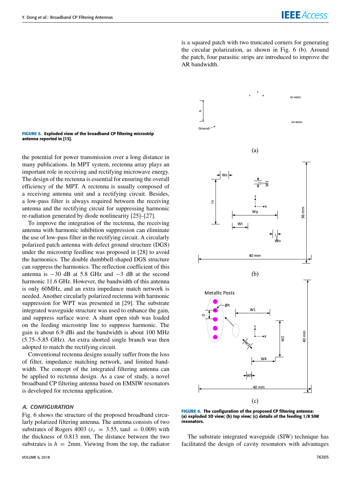is a squared patch with two truncated corners for generating the circular polarization, as shown in Fig. 6 (b). Around the patch, four parasitic strips are introduced to improve the AR bandwidth.

#### **FIGURE 5.** Exploded view of the broadband CP filtering microstrip antenna reported in [13].

the potential for power transmission over a long distance in many publications. In MPT system, rectenna array plays an important role in receiving and rectifying microwave energy. The design of the rectenna is essential for ensuring the overall efficiency of the MPT. A rectenna is usually composed of a receiving antenna unit and a rectifying circuit. Besides, a low-pass filter is always required between the receiving antenna and the rectifying circuit for suppressing harmonic re-radiation generated by diode nonlinearity [25]–[27].

To improve the integration of the rectenna, the receiving antenna with harmonic inhibition suppression can eliminate the use of low-pass filter in the rectifying circuit. A circularly polarized patch antenna with defect ground structure (DGS) under the microstrip feedline was proposed in [28] to avoid the harmonics. The double dumbbell-shaped DGS structure can suppress the harmonics. The reflection coefficient of this antenna is  $-30$  dB at 5.8 GHz and  $-3$  dB at the second harmonic 11.6 GHz. However, the bandwidth of this antenna is only 60MHz, and an extra impedance match network is needed. Another circularly polarized rectenna with harmonic suppression for WPT was presented in [29]. The substrate integrated waveguide structure was used to enhance the gain, and suppress surface wave. A shunt open stub was loaded on the feeding microstrip line to suppress harmonic. The gain is about 6.9 dBi and the bandwidth is about 100 MHz (5.75–5.85 GHz). An extra shorted single branch was then adopted to match the rectifying circuit.

Conventional rectenna designs usually suffer from the loss of filter, impedance matching network, and limited bandwidth. The concept of the integrated filtering antenna can be applied to rectenna design. As a case of study, a novel broadband CP filtering antenna based on EMSIW resonators is developed for rectenna application.

#### A. CONFIGURATION

Fig. 6 shows the structure of the proposed broadband circularly polarized filtering antenna. The antenna consists of two substrates of Rogers 4003 ( $\varepsilon_r = 3.55$ , tan $\delta = 0.009$ ) with the thickness of 0.813 mm. The distance between the two substrates is  $h = 2$ mm. Viewing from the top, the radiator



**FIGURE 6.** The configuration of the proposed CP filtering antenna: (a) exploded 3D view; (b) top view; (c) details of the feeding 1/8 SIW resonators.

The substrate integrated waveguide (SIW) technique has facilitated the design of cavity resonators with advantages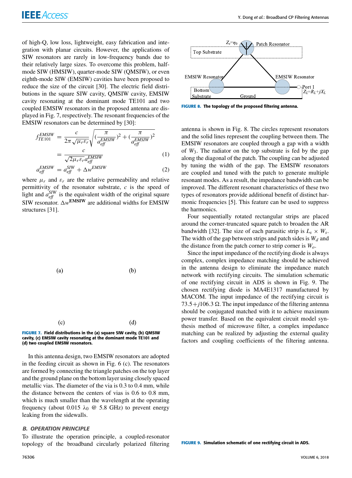of high-Q, low loss, lightweight, easy fabrication and integration with planar circuits. However, the applications of SIW resonators are rarely in low-frequency bands due to their relatively large sizes. To overcome this problem, halfmode SIW (HMSIW), quarter-mode SIW (QMSIW), or even eighth-mode SIW (EMSIW) cavities have been proposed to reduce the size of the circuit [30]. The electric field distributions in the square SIW cavity, QMSIW cavity, EMSIW cavity resonating at the dominant mode TE101 and two coupled EMSIW resonators in the proposed antenna are displayed in Fig. 7, respectively. The resonant frequencies of the EMSIW resonators can be determined by [30]:

$$
f_{TE101}^{EMSIW} = \frac{c}{2\pi\sqrt{\mu_r \varepsilon_r}} \sqrt{(\frac{\pi}{a_{eff}^{EMSIW}})^2 + (\frac{\pi}{a_{eff}^{EMSIW}})^2}
$$
  
= 
$$
\frac{c}{\sqrt{2\mu_r \varepsilon_r} a_{eff}^{EMSIW}}
$$
(1)  

$$
a_{eff}^{EMSIW} = a_{eff}^{SIW} + \Delta w^{EMSIW}
$$
(2)

where  $\mu_r$  and  $\varepsilon_r$  are the relative permeability and relative permittivity of the resonator substrate, *c* is the speed of light and  $a_{\text{eff}}^{SIW}$  is the equivalent width of the original square SIW resonator.  $\Delta w^{\text{EMSIW}}$  are additional widths for EMSIW structures [31].





In this antenna design, two EMSIW resonators are adopted in the feeding circuit as shown in Fig. 6 (c). The resonators are formed by connecting the triangle patches on the top layer and the ground plane on the bottom layer using closely spaced metallic vias. The diameter of the via is 0.3 to 0.4 mm, while the distance between the centers of vias is 0.6 to 0.8 mm, which is much smaller than the wavelength at the operating frequency (about 0.015  $\lambda_0$  @ 5.8 GHz) to prevent energy leaking from the sidewalls.

#### B. OPERATION PRINCIPLE

To illustrate the operation principle, a coupled-resonator topology of the broadband circularly polarized filtering



**FIGURE 8.** The topology of the proposed filtering antenna.

antenna is shown in Fig. 8. The circles represent resonators and the solid lines represent the coupling between them. The EMSIW resonators are coupled through a gap with a width of *W*3. The radiator on the top substrate is fed by the gap along the diagonal of the patch. The coupling can be adjusted by tuning the width of the gap. The EMSIW resonators are coupled and tuned with the patch to generate multiple resonant modes. As a result, the impedance bandwidth can be improved. The different resonant characteristics of these two types of resonators provide additional benefit of distinct harmonic frequencies [5]. This feature can be used to suppress the harmonics.

Four sequentially rotated rectangular strips are placed around the corner-truncated square patch to broaden the AR bandwidth [32]. The size of each parasitic strip is  $L_s \times W_s$ . The width of the gap between strips and patch sides is *W<sup>d</sup>* and the distance from the patch corner to strip corner is *Wo*.

Since the input impedance of the rectifying diode is always complex, complex impedance matching should be achieved in the antenna design to eliminate the impedance match network with rectifying circuits. The simulation schematic of one rectifying circuit in ADS is shown in Fig. 9. The chosen rectifying diode is MA4E1317 manufactured by MACOM. The input impedance of the rectifying circuit is  $73.5 + j106.3 \Omega$ . The input impedance of the filtering antenna should be conjugated matched with it to achieve maximum power transfer. Based on the equivalent circuit model synthesis method of microwave filter, a complex impedance matching can be realized by adjusting the external quality factors and coupling coefficients of the filtering antenna.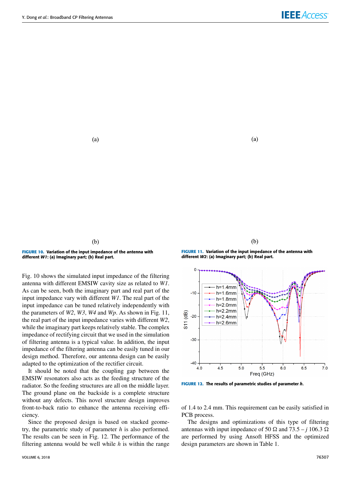$(a)$ 

 $(b)$ 

**FIGURE 10.** Variation of the input impedance of the antenna with different W1: (a) Imaginary part; (b) Real part.

Fig. 10 shows the simulated input impedance of the filtering antenna with different EMSIW cavity size as related to *W1*. As can be seen, both the imaginary part and real part of the input impedance vary with different *W1*. The real part of the input impedance can be tuned relatively independently with the parameters of *W2*, *W3*, *W4* and *Wp*. As shown in Fig. 11, the real part of the input impedance varies with different *W2*, while the imaginary part keeps relatively stable. The complex impedance of rectifying circuit that we used in the simulation of filtering antenna is a typical value. In addition, the input impedance of the filtering antenna can be easily tuned in our design method. Therefore, our antenna design can be easily adapted to the optimization of the rectifier circuit.

It should be noted that the coupling gap between the EMSIW resonators also acts as the feeding structure of the radiator. So the feeding structures are all on the middle layer. The ground plane on the backside is a complete structure without any defects. This novel structure design improves front-to-back ratio to enhance the antenna receiving efficiency.

Since the proposed design is based on stacked geometry, the parametric study of parameter *h* is also performed. The results can be seen in Fig. 12. The performance of the filtering antenna would be well while *h* is within the range

 $(a)$ 

**FIGURE 11.** Variation of the input impedance of the antenna with different W2: (a) Imaginary part; (b) Real part.

 $(b)$ 



**FIGURE 12.** The results of parametric studies of parameter h.

of 1.4 to 2.4 mm. This requirement can be easily satisfied in PCB process.

The designs and optimizations of this type of filtering antennas with input impedance of 50  $\Omega$  and 73.5 – *j* 106.3  $\Omega$ are performed by using Ansoft HFSS and the optimized design parameters are shown in Table 1.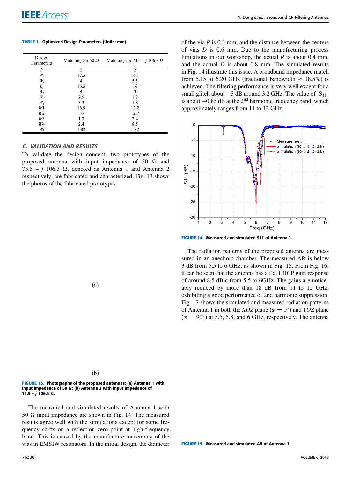#### **TABLE 1.** Optimized Design Parameters (Units: mm).

| Design<br>Parameters | Matching for 50 $\Omega$ | Matching for $73.5 - j 106.3 \Omega$ |
|----------------------|--------------------------|--------------------------------------|
| h                    | 2                        | $\overline{c}$                       |
| $W_p$                | 17.5                     | 16.1                                 |
| W,                   | 4                        | 5.5                                  |
| $L_{s}$              | 16.5                     | 16                                   |
| $W_{\rm s}$          | 4                        | 3                                    |
| $W_d$                | 2.5                      | 1.2                                  |
| $W_{o}$              | 3.3                      | 1.8                                  |
| Wl                   | 16.9                     | 12.2                                 |
| W <sub>2</sub>       | 10                       | 12.7                                 |
| W3                   | 1.3                      | 2.4                                  |
| W4                   | 2.4                      | 8.5                                  |
| Wf                   | 1.82                     | 1.82                                 |

#### C. VALIDATION AND RESULTS

To validate the design concept, two prototypes of the proposed antenna with input impedance of 50  $\Omega$  and  $73.5 - i 106.3 \Omega$ , denoted as Antenna 1 and Antenna 2 respectively, are fabricated and characterized. Fig. 13 shows the photos of the fabricated prototypes.

 $(a)$ 

of the via *R* is 0.3 mm, and the distance between the centers of vias *D* is 0.6 mm. Due to the manufacturing process limitations in our workshop, the actual *R* is about 0.4 mm, and the actual *D* is about 0.8 mm. The simulated results in Fig. 14 illustrate this issue. A broadband impedance match from 5.15 to 6.20 GHz (fractional bandwidth  $\approx 18.5\%$ ) is achieved. The filtering performance is very well except for a small glitch about  $-3$  dB around 3.2 GHz. The value of  $|S_{11}|$ is about  $-0.85$  dB at the 2<sup>nd</sup> harmonic frequency band, which approximately ranges from 11 to 12 GHz.



**FIGURE 14.** Measured and simulated S11 of Antenna 1.

The radiation patterns of the proposed antenna are measured in an anechoic chamber. The measured AR is below 3 dB from 5.5 to 6 GHz, as shown in Fig. 15. From Fig. 16, it can be seen that the antenna has a flat LHCP gain response of around 8.5 dBic from 5.5 to 6GHz. The gains are noticeably reduced by more than 18 dB from 11 to 12 GHz, exhibiting a good performance of 2nd harmonic suppression. Fig. 17 shows the simulated and measured radiation patterns of Antenna 1 in both the *XOZ* plane ( $\phi = 0^{\circ}$ ) and *YOZ* plane  $(\phi = 90^{\circ})$  at 5.5, 5.8, and 6 GHz, respectively. The antenna

| $\frac{1}{2}$ | ۰.<br>×<br>I<br>I<br>I<br>۹ |
|---------------|-----------------------------|

**FIGURE 13.** Photographs of the proposed antennas: (a) Antenna 1 with input impedance of 50  $\Omega$ ; (b) Antenna 2 with input impedance of  $73.5 - j$  106.3  $\Omega$ .

The measured and simulated results of Antenna 1 with 50  $\Omega$  input impedance are shown in Fig. 14. The measured results agree well with the simulations except for some frequency shifts on a reflection zero point at high-frequency band. This is caused by the manufacture inaccuracy of the vias in EMSIW resonators. In the initial design, the diameter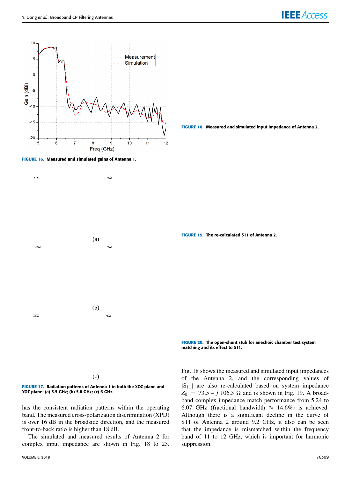







**FIGURE 19.** The re-calculated S11 of Antenna 2.

**FIGURE 20.** The open-shunt stub for anechoic chamber test system matching and its effect to S11.

 $(c)$ 



has the consistent radiation patterns within the operating band. The measured cross-polarization discrimination (XPD) is over 16 dB in the broadside direction, and the measured front-to-back ratio is higher than 18 dB.

The simulated and measured results of Antenna 2 for complex input impedance are shown in Fig. 18 to 23.

Fig. 18 shows the measured and simulated input impedances of the Antenna 2, and the corresponding values of  $|S_{11}|$  are also re-calculated based on system impedance  $Z_0 = 73.5 - j \, 106.3 \, \Omega$  and is shown in Fig. 19. A broadband complex impedance match performance from 5.24 to 6.07 GHz (fractional bandwidth  $\approx$  14.6%) is achieved. Although there is a significant decline in the curve of S11 of Antenna 2 around 9.2 GHz, it also can be seen that the impedance is mismatched within the frequency band of 11 to 12 GHz, which is important for harmonic suppression.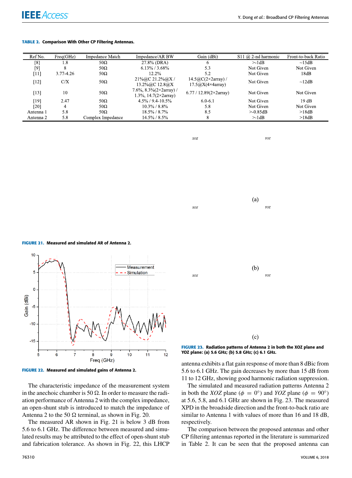#### **TABLE 2.** Comparison With Other CP Filtering Antennas.

| Ref No.   | $Freq(GHz)$ | <b>Impedance Match</b> | Impedance/AR BW                                                | Gain (dBi)                                            | S11 $@$ 2-nd harmonic | Front-to-back Ratio |
|-----------|-------------|------------------------|----------------------------------------------------------------|-------------------------------------------------------|-----------------------|---------------------|
| [8]       | 1.8         | $50\Omega$             | 27.8% (DRA)                                                    |                                                       | >1dB                  | $\sim$ 15dB         |
| [9]       | 8           | $50\Omega$             | $6.13\%$ / 3.68%                                               | 5.3                                                   | Not Given             | Not Given           |
| [11]      | 3.77-4.26   | $50\Omega$             | 12.2%                                                          | 5.2                                                   | Not Given             | 18dB                |
| [12]      | C/X         | $50\Omega$             | $21\% @C 21.2\% @X /$<br>13.2% ( $a$ C 12.8 $a$ )X             | $14.5@C(2\times 2array)$ /<br>$17.5@X(4\times4array)$ | Not Given             | $\sim$ 12dB         |
| [13]      | 10          | $50\Omega$             | 7.6%, 8.3% $(2\times 2array)$ /<br>1.3%, $14.7(2\times2array)$ | 6.77 / 12.89 $(2\times 2array)$                       | Not Given             | Not Given           |
| [19]      | 2.47        | $50\Omega$             | $4.5\%$ / 9.4-10.5%                                            | $6.0 - 6.1$                                           | Not Given             | 19dB                |
| [20]      | 4           | $50\Omega$             | $10.3\% / 8.8\%$                                               | 5.8                                                   | Not Given             | Not Given           |
| Antenna 1 | 5.8         | 50 $\Omega$            | $18.5\% / 8.7\%$                                               | 8.5                                                   | > 0.85dB              | >18dB               |
| Antenna 2 | 5.8         | Complex Impedance      | $14.5\% / 8.5\%$                                               | 8                                                     | >1dB                  | >18dB               |

xoz

YOZ

 $(a)$ xoz YOZ

**FIGURE 21.** Measured and simulated AR of Antenna 2.



**FIGURE 22.** Measured and simulated gains of Antenna 2.

The characteristic impedance of the measurement system in the anechoic chamber is 50  $\Omega$ . In order to measure the radiation performance of Antenna 2 with the complex impedance, an open-shunt stub is introduced to match the impedance of Antenna 2 to the 50  $\Omega$  terminal, as shown in Fig. 20.

The measured AR shown in Fig. 21 is below 3 dB from 5.6 to 6.1 GHz. The difference between measured and simulated results may be attributed to the effect of open-shunt stub and fabrication tolerance. As shown in Fig. 22, this LHCP



YOZ plane: (a) 5.6 GHz; (b) 5.8 GHz; (c) 6.1 GHz.

antenna exhibits a flat gain response of more than 8 dBic from 5.6 to 6.1 GHz. The gain decreases by more than 15 dB from 11 to 12 GHz, showing good harmonic radiation suppression.

The simulated and measured radiation patterns Antenna 2 in both the *XOZ* plane ( $\phi = 0^{\circ}$ ) and *YOZ* plane ( $\phi = 90^{\circ}$ ) at 5.6, 5.8, and 6.1 GHz are shown in Fig. 23. The measured XPD in the broadside direction and the front-to-back ratio are similar to Antenna 1 with values of more than 16 and 18 dB, respectively.

The comparison between the proposed antennas and other CP filtering antennas reported in the literature is summarized in Table 2. It can be seen that the proposed antenna can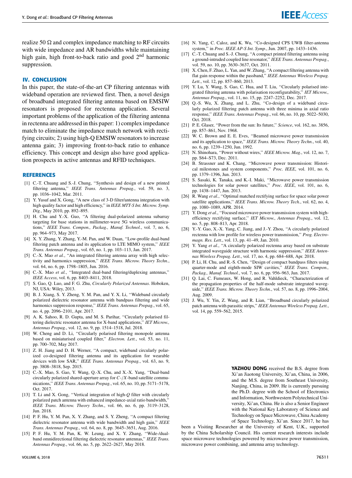realize 50  $\Omega$  and complex impedance matching to RF circuits with wide impedance and AR bandwidths while maintaining high gain, high front-to-back ratio and good  $2<sup>nd</sup>$  harmonic suppression.

#### **IV. CONCLUSION**

In this paper, the state-of-the-art CP filtering antennas with wideband operation are reviewed first. Then, a novel design of broadband integrated filtering antenna based on EMSIW resonators is proposed for rectenna application. Several important problems of the application of the filtering antenna in rectenna are addressed in this paper: 1) complex impedance match to eliminate the impedance match network with rectifying circuits; 2) using high-Q EMSIW resonators to increase antenna gain; 3) improving front-to-back ratio to enhance efficiency. This concept and design also have good application prospects in active antennas and RFID techniques.

#### **REFERENCES**

- [1] C.-T. Chuang and S.-J. Chung, ''Synthesis and design of a new printed filtering antenna,'' *IEEE Trans. Antennas Propag.*, vol. 59, no. 3, pp. 1036–1042, Mar. 2011.
- [2] Y. Yusuf and X. Gong, ''A new class of 3-D filter/antenna integration with high quality factor and high efficiency,'' in *IEEE MTT-S Int. Microw. Symp. Dig.*, May 2010, pp. 892–895.
- [3] H. Chu and Y.-X. Guo, "A filtering dual-polarized antenna subarray targeting for base stations in millimeter-wave 5G wireless communications,'' *IEEE Trans. Compon., Packag., Manuf. Technol.*, vol. 7, no. 6, pp. 964–973, May 2017.
- [4] X. Y. Zhang, Y. Zhang, Y.-M. Pan, and W. Duan, ''Low-profile dual-band filtering patch antenna and its application to LTE MIMO system,'' *IEEE Trans. Antennas Propag.*, vol. 65, no. 1, pp. 103–113, Jan. 2017.
- [5] C.-X. Mao et al., "An integrated filtering antenna array with high selectivity and harmonics suppression,'' *IEEE Trans. Microw. Theory Techn.*, vol. 64, no. 6, pp. 1798–1805, Jun. 2016.
- [6] C.-X. Mao et al., "Integrated dual-band filtering/duplexing antennas," *IEEE Access*, vol. 6, pp. 8403–8411, 2018.
- [7] S. Gao, Q. Luo, and F. G. Zhu, *Circularly Polarized Antennas*. Hoboken, NJ, USA: Wiley, 2013.
- [8] B. J. Xiang, S. Y. Zheng, Y. M. Pan, and Y. X. Li, ''Wideband circularly polarized dielectric resonator antenna with bandpass filtering and wide harmonics suppression response,'' *IEEE Trans. Antennas Propag.*, vol. 65, no. 4, pp. 2096–2101, Apr. 2017.
- [9] A. K. Sahoo, R. D. Gupta, and M. S. Parihar, ''Circularly polarised filtering dielectric resonator antenna for X-band applications,'' *IET Microw., Antennas Propag.*, vol. 12, no. 9, pp. 1514–1518, Jul. 2018.
- [10] W. Cheng and D. Li, "Circularly polarised filtering monopole antenna based on miniaturised coupled filter,'' *Electron. Lett.*, vol. 53, no. 11, pp. 700–702, May 2017.
- [11] Z. H. Jiang and D. H. Werner, "A compact, wideband circularly polarized co-designed filtering antenna and its application for wearable devices with low SAR,'' *IEEE Trans. Antennas Propag.*, vol. 63, no. 9, pp. 3808–3818, Sep. 2015.
- [12] C.-X. Mao, S. Gao, Y. Wang, Q.-X. Chu, and X.-X. Yang, ''Dual-band circularly polarized shared-aperture array for *C*-/*X*-band satellite communications,'' *IEEE Trans. Antennas Propag.*, vol. 65, no. 10, pp. 5171–5178, Oct. 2017.
- [13] T. Li and X. Gong, ''Vertical integration of high-*Q* filter with circularly polarized patch antenna with enhanced impedance-axial ratio bandwidth,'' *IEEE Trans. Microw. Theory Techn.*, vol. 66, no. 6, pp. 3119–3128, Jun. 2018.
- [14] P. F. Hu, Y. M. Pan, X. Y. Zhang, and S. Y. Zheng, "A compact filtering dielectric resonator antenna with wide bandwidth and high gain,'' *IEEE Trans. Antennas Propag.*, vol. 64, no. 8, pp. 3645–3651, Aug. 2016.
- [15] P. F. Hu, Y. M. Pan, K. W. Leung, and X. Y. Zhang, "Wide-/dualband omnidirectional filtering dielectric resonator antennas,'' *IEEE Trans. Antennas Propag.*, vol. 66, no. 5, pp. 2622–2627, May 2018.
- [16] N. Yang, C. Caloz, and K. Wu, "Co-designed CPS UWB filter-antenna system,'' in *Proc. IEEE AP-S Int. Symp.*, Jun. 2007, pp. 1433–1436.
- [17] C.-T. Chuang and S.-J. Chung, ''A compact printed filtering antenna using a ground-intruded coupled line resonator,'' *IEEE Trans. Antennas Propag.*, vol. 59, no. 10, pp. 3630–3637, Oct. 2011.
- [18] X. Chen, F. Zhao, L. Yan, and W. Zhang, ''A compact filtering antenna with flat gain response within the passband,'' *IEEE Antennas Wireless Propag. Lett.*, vol. 12, pp. 857–860, 2013.
- [19] Y. Lu, Y. Wang, S. Gao, C. Hua, and T. Liu, "Circularly polarised integrated filtering antenna with polarisation reconfigurability,'' *IET Microw., Antennas Propag.*, vol. 11, no. 15, pp. 2247–2252, Dec. 2017.
- [20] Q.-S. Wu, X. Zhang, and L. Zhu, "Co-design of a wideband circularly polarized filtering patch antenna with three minima in axial ratio response,'' *IEEE Trans. Antennas Propag.*, vol. 66, no. 10, pp. 5022–5030, Oct. 2018.
- [21] P. E. Glaser, ''Power from the sun: Its future,'' *Science*, vol. 162, no. 3856, pp. 857–861, Nov. 1968.
- [22] W. C. Brown and E. E. Eves, ''Beamed microwave power transmission and its application to space,'' *IEEE Trans. Microw. Theory Techn.*, vol. 40, no. 6, pp. 1239–1250, Jun. 1992.
- [23] N. Shinohara, ''Power without wires,'' *IEEE Microw. Mag.*, vol. 12, no. 7, pp. S64–S73, Dec. 2011.
- [24] B. Strassner and K. Chang, ''Microwave power transmission: Historical milestones and system components,'' *Proc. IEEE*, vol. 101, no. 6, pp. 1379–1396, Jun. 2013.
- [25] S. Sasaki, K. Tanaka, and K.-I. Maki, ''Microwave power transmission technologies for solar power satellites,'' *Proc. IEEE*, vol. 101, no. 6, pp. 1438–1447, Jun. 2013.
- [26] R. Wang *et al.*, "Optimal matched rectifying surface for space solar power satellite applications,'' *IEEE Trans. Microw. Theory Tech.*, vol. 62, no. 4, pp. 1080–1089, APR. 2014.
- [27] Y. Dong *et al.*, "Focused microwave power transmission system with highefficiency rectifying surface,'' *IET Microw., Antennas Propag.*, vol. 12, no. 5, pp. 808–813, Apr. 2018.
- [28] Y.-Y. Gao, X.-X. Yang, C. Jiang, and J.-Y. Zhou, "A circularly polarized rectenna with low profile for wireless power transmission,'' *Prog. Electromagn. Res. Lett.*, vol. 13, pp. 41–49, Jan. 2010.
- [29] Y. Yang et al., "A circularly polarized rectenna array based on substrate integrated waveguide structure with harmonic suppression,'' *IEEE Antennas Wireless Propag. Lett.*, vol. 17, no. 4, pp. 684–688, Apr. 2018.
- [30] P. Li, H. Chu, and R.-S. Chen, ''Design of compact bandpass filters using quarter-mode and eighth-mode SIW cavities,'' *IEEE Trans. Compon., Packag., Manuf. Technol.*, vol. 7, no. 6, pp. 956–963, Jun. 2017.
- [31] Q. Lai, C. Fumeaux, W. Hong, and R. Vahldieck, "Characterization of the propagation properties of the half-mode substrate integrated waveguide,'' *IEEE Trans. Microw. Theory Techn.*, vol. 57, no. 8, pp. 1996–2004, Aug. 2009.
- [32] J. Wu, Y. Yin, Z. Wang, and R. Lian, ''Broadband circularly polarized patch antenna with parasitic strips,'' *IEEE Antennas Wireless Propag. Lett.*, vol. 14, pp. 559–562, 2015.

YAZHOU DONG received the B.S. degree from Xi'an Jiaotong University, Xi'an, China, in 2006, and the M.S. degree from Southeast University, Nanjing, China, in 2009. He is currently pursuing the Ph.D. degree with the School of Electronics and Information, Northwestern Polytechnical University, Xi'an, China. He is also a Senior Engineer with the National Key Laboratory of Science and Technology on Space Microwave, China Academy of Space Technology, Xi'an. Since 2017, he has

been a Visiting Researcher at the University of Kent, U.K., supported by the China Scholarship Council. His current research interests include space microwave technologies powered by microwave power transmission, microwave power combining, and antenna array technology.